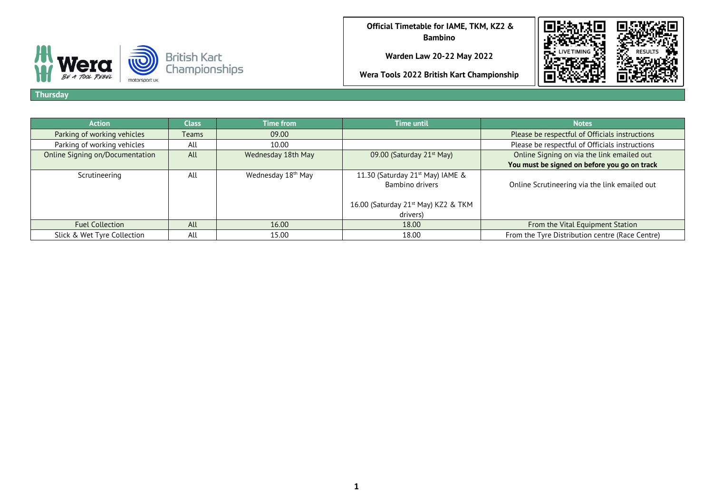BE A TOOL REBEL motorsport uk **Official Timetable for IAME, TKM, KZ2 & Bambino**

**Warden Law 20-22 May 2022**

**Wera Tools 2022 British Kart Championship**



**Thursday**

| <b>Action</b>                   | Class | <b>Time from</b>               | <b>Time until</b>                               | <b>Notes</b>                                    |
|---------------------------------|-------|--------------------------------|-------------------------------------------------|-------------------------------------------------|
| Parking of working vehicles     | Teams | 09.00                          |                                                 | Please be respectful of Officials instructions  |
| Parking of working vehicles     | All   | 10.00                          |                                                 | Please be respectful of Officials instructions  |
| Online Signing on/Documentation | All   | Wednesday 18th May             | 09.00 (Saturday 21 <sup>st</sup> May)           | Online Signing on via the link emailed out      |
|                                 |       |                                |                                                 | You must be signed on before you go on track    |
| Scrutineering                   | All   | Wednesday 18 <sup>th</sup> May | 11.30 (Saturday 21 <sup>st</sup> May) IAME &    |                                                 |
|                                 |       |                                | Bambino drivers                                 | Online Scrutineering via the link emailed out   |
|                                 |       |                                |                                                 |                                                 |
|                                 |       |                                | 16.00 (Saturday 21 <sup>st</sup> May) KZ2 & TKM |                                                 |
|                                 |       |                                | drivers)                                        |                                                 |
| <b>Fuel Collection</b>          | All   | 16.00                          | 18.00                                           | From the Vital Equipment Station                |
| Slick & Wet Tyre Collection     | All   | 15.00                          | 18.00                                           | From the Tyre Distribution centre (Race Centre) |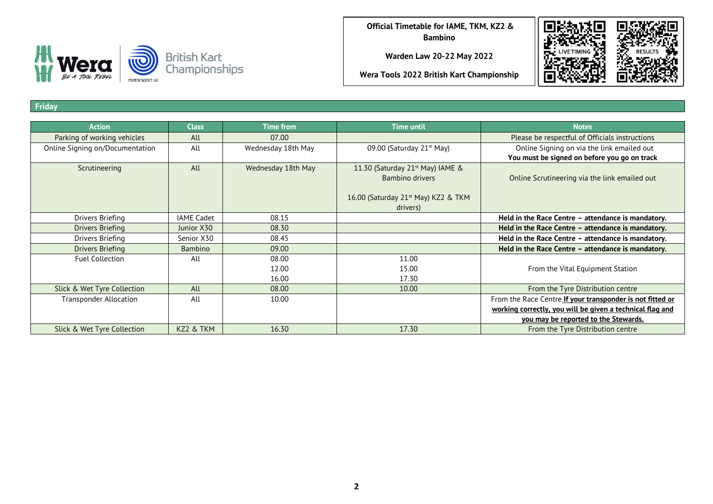

**Warden Law 20-22 May 2022**

**Wera Tools 2022 British Kart Championship**



**Friday**

| <b>Action</b>                   | <b>Class</b>      | <b>Time from</b>   | <b>Time until</b>                               | <b>Notes</b>                                              |
|---------------------------------|-------------------|--------------------|-------------------------------------------------|-----------------------------------------------------------|
| Parking of working vehicles     | All               | 07.00              |                                                 | Please be respectful of Officials instructions            |
| Online Signing on/Documentation | All               | Wednesday 18th May | 09.00 (Saturday 21 <sup>st</sup> May)           | Online Signing on via the link emailed out                |
|                                 |                   |                    |                                                 | You must be signed on before you go on track              |
| Scrutineering                   | All               | Wednesday 18th May | 11.30 (Saturday 21 <sup>st</sup> May) IAME &    |                                                           |
|                                 |                   |                    | Bambino drivers                                 | Online Scrutineering via the link emailed out             |
|                                 |                   |                    |                                                 |                                                           |
|                                 |                   |                    | 16.00 (Saturday 21 <sup>st</sup> May) KZ2 & TKM |                                                           |
|                                 |                   |                    | drivers)                                        |                                                           |
| Drivers Briefing                | <b>IAME Cadet</b> | 08.15              |                                                 | Held in the Race Centre - attendance is mandatory.        |
| Drivers Briefing                | Junior X30        | 08.30              |                                                 | Held in the Race Centre - attendance is mandatory.        |
| Drivers Briefing                | Senior X30        | 08.45              |                                                 | Held in the Race Centre - attendance is mandatory.        |
| Drivers Briefing                | Bambino           | 09.00              |                                                 | Held in the Race Centre - attendance is mandatory.        |
| <b>Fuel Collection</b>          | All               | 08.00              | 11.00                                           |                                                           |
|                                 |                   | 12.00              | 15.00                                           | From the Vital Equipment Station                          |
|                                 |                   | 16.00              | 17.30                                           |                                                           |
| Slick & Wet Tyre Collection     | All               | 08.00              | 10.00                                           | From the Tyre Distribution centre                         |
| <b>Transponder Allocation</b>   | All               | 10.00              |                                                 | From the Race Centre If your transponder is not fitted or |
|                                 |                   |                    |                                                 | working correctly, you will be given a technical flag and |
|                                 |                   |                    |                                                 | you may be reported to the Stewards.                      |
| Slick & Wet Tyre Collection     | KZ2 & TKM         | 16.30              | 17.30                                           | From the Tyre Distribution centre                         |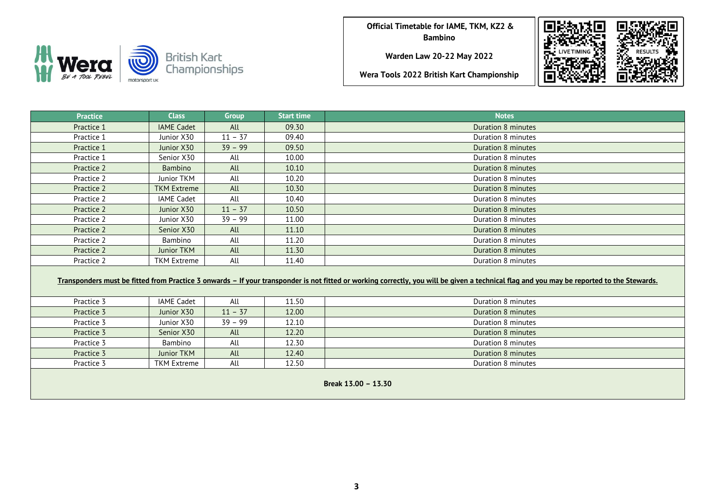TOOL REBEL motorsport uk **Official Timetable for IAME, TKM, KZ2 & Bambino**

**Warden Law 20-22 May 2022**



| <b>Practice</b>     | <b>Class</b>                                                                                                                                                                              | <b>Group</b> | <b>Start time</b> | <b>Notes</b>              |  |  |  |  |  |  |
|---------------------|-------------------------------------------------------------------------------------------------------------------------------------------------------------------------------------------|--------------|-------------------|---------------------------|--|--|--|--|--|--|
| Practice 1          | <b>IAME Cadet</b>                                                                                                                                                                         | All          | 09.30             | Duration 8 minutes        |  |  |  |  |  |  |
| Practice 1          | Junior X30                                                                                                                                                                                | $11 - 37$    | 09.40             | Duration 8 minutes        |  |  |  |  |  |  |
| Practice 1          | Junior X30                                                                                                                                                                                | $39 - 99$    | 09.50             | Duration 8 minutes        |  |  |  |  |  |  |
| Practice 1          | Senior X30                                                                                                                                                                                | All          | 10.00             | Duration 8 minutes        |  |  |  |  |  |  |
| Practice 2          | Bambino                                                                                                                                                                                   | All          | 10.10             | Duration 8 minutes        |  |  |  |  |  |  |
| Practice 2          | Junior TKM                                                                                                                                                                                | All          | 10.20             | Duration 8 minutes        |  |  |  |  |  |  |
| Practice 2          | <b>TKM Extreme</b>                                                                                                                                                                        | All          | 10.30             | Duration 8 minutes        |  |  |  |  |  |  |
| Practice 2          | <b>IAME Cadet</b>                                                                                                                                                                         | All          | 10.40             | Duration 8 minutes        |  |  |  |  |  |  |
| Practice 2          | Junior X30                                                                                                                                                                                | $11 - 37$    | 10.50             | Duration 8 minutes        |  |  |  |  |  |  |
| Practice 2          | Junior X30                                                                                                                                                                                | $39 - 99$    | 11.00             | Duration 8 minutes        |  |  |  |  |  |  |
| Practice 2          | Senior X30                                                                                                                                                                                | All          | 11.10             | Duration 8 minutes        |  |  |  |  |  |  |
| Practice 2          | Bambino                                                                                                                                                                                   | All          | 11.20             | Duration 8 minutes        |  |  |  |  |  |  |
| Practice 2          | <b>Junior TKM</b>                                                                                                                                                                         | All          | 11.30             | <b>Duration 8 minutes</b> |  |  |  |  |  |  |
| Practice 2          | <b>TKM Extreme</b>                                                                                                                                                                        | All          | 11.40             | Duration 8 minutes        |  |  |  |  |  |  |
|                     | Transponders must be fitted from Practice 3 onwards - If your transponder is not fitted or working correctly, you will be given a technical flag and you may be reported to the Stewards. |              |                   |                           |  |  |  |  |  |  |
| Practice 3          | <b>IAME Cadet</b>                                                                                                                                                                         | All          | 11.50             | Duration 8 minutes        |  |  |  |  |  |  |
| Practice 3          | Junior X30                                                                                                                                                                                | $11 - 37$    | 12.00             | Duration 8 minutes        |  |  |  |  |  |  |
| Practice 3          | Junior X30                                                                                                                                                                                | $39 - 99$    | 12.10             | Duration 8 minutes        |  |  |  |  |  |  |
| Practice 3          | Senior X30                                                                                                                                                                                | All          | 12.20             | <b>Duration 8 minutes</b> |  |  |  |  |  |  |
| Practice 3          | Bambino                                                                                                                                                                                   | All          | 12.30             | Duration 8 minutes        |  |  |  |  |  |  |
| Practice 3          | <b>Junior TKM</b>                                                                                                                                                                         | All          | 12.40             | Duration 8 minutes        |  |  |  |  |  |  |
| Practice 3          | <b>TKM Extreme</b>                                                                                                                                                                        | All          | 12.50             | Duration 8 minutes        |  |  |  |  |  |  |
| Break 13.00 - 13.30 |                                                                                                                                                                                           |              |                   |                           |  |  |  |  |  |  |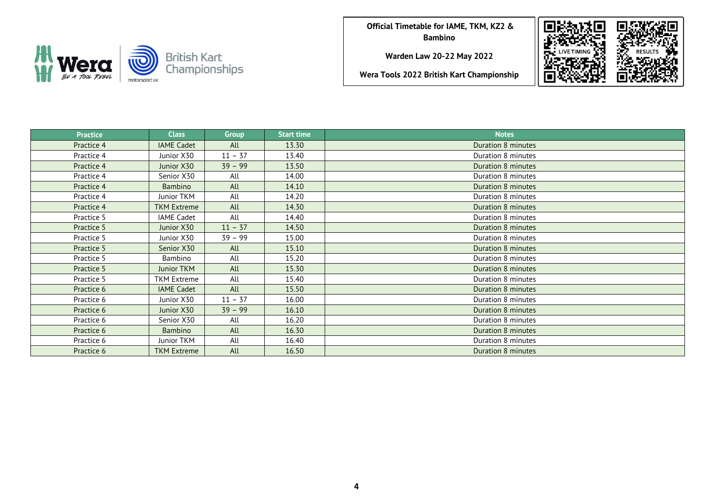

**Warden Law 20-22 May 2022**



| <b>Practice</b> | <b>Class</b>       | <b>Group</b> | <b>Start time</b> | <b>Notes</b>              |
|-----------------|--------------------|--------------|-------------------|---------------------------|
| Practice 4      | <b>IAME Cadet</b>  | All          | 13.30             | <b>Duration 8 minutes</b> |
| Practice 4      | Junior X30         | $11 - 37$    | 13.40             | Duration 8 minutes        |
| Practice 4      | Junior X30         | $39 - 99$    | 13.50             | Duration 8 minutes        |
| Practice 4      | Senior X30         | All          | 14.00             | Duration 8 minutes        |
| Practice 4      | Bambino            | All          | 14.10             | Duration 8 minutes        |
| Practice 4      | Junior TKM         | All          | 14.20             | Duration 8 minutes        |
| Practice 4      | <b>TKM Extreme</b> | All          | 14.30             | Duration 8 minutes        |
| Practice 5      | <b>IAME Cadet</b>  | All          | 14.40             | Duration 8 minutes        |
| Practice 5      | Junior X30         | $11 - 37$    | 14.50             | Duration 8 minutes        |
| Practice 5      | Junior X30         | $39 - 99$    | 15.00             | Duration 8 minutes        |
| Practice 5      | Senior X30         | All          | 15.10             | Duration 8 minutes        |
| Practice 5      | Bambino            | All          | 15.20             | Duration 8 minutes        |
| Practice 5      | <b>Junior TKM</b>  | All          | 15.30             | Duration 8 minutes        |
| Practice 5      | TKM Extreme        | All          | 15.40             | Duration 8 minutes        |
| Practice 6      | <b>IAME Cadet</b>  | All          | 15.50             | Duration 8 minutes        |
| Practice 6      | Junior X30         | $11 - 37$    | 16.00             | Duration 8 minutes        |
| Practice 6      | Junior X30         | $39 - 99$    | 16.10             | Duration 8 minutes        |
| Practice 6      | Senior X30         | All          | 16.20             | Duration 8 minutes        |
| Practice 6      | Bambino            | All          | 16.30             | Duration 8 minutes        |
| Practice 6      | Junior TKM         | All          | 16.40             | Duration 8 minutes        |
| Practice 6      | <b>TKM Extreme</b> | All          | 16.50             | <b>Duration 8 minutes</b> |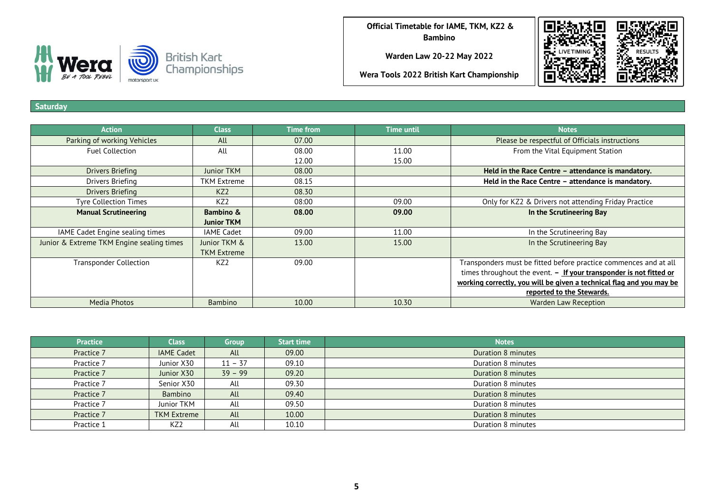

**Warden Law 20-22 May 2022**

**Wera Tools 2022 British Kart Championship**



**Saturday**

| <b>Action</b>                             | <b>Class</b>       | <b>Time from</b> | <b>Time until</b> | <b>Notes</b>                                                         |
|-------------------------------------------|--------------------|------------------|-------------------|----------------------------------------------------------------------|
| Parking of working Vehicles               | All                | 07.00            |                   | Please be respectful of Officials instructions                       |
| <b>Fuel Collection</b>                    | All                | 08.00            | 11.00             | From the Vital Equipment Station                                     |
|                                           |                    | 12.00            | 15.00             |                                                                      |
| Drivers Briefing                          | <b>Junior TKM</b>  | 08.00            |                   | Held in the Race Centre - attendance is mandatory.                   |
| Drivers Briefing                          | <b>TKM Extreme</b> | 08.15            |                   | Held in the Race Centre - attendance is mandatory.                   |
| <b>Drivers Briefing</b>                   | KZ <sub>2</sub>    | 08.30            |                   |                                                                      |
| <b>Tyre Collection Times</b>              | KZ <sub>2</sub>    | 08:00            | 09.00             | Only for KZ2 & Drivers not attending Friday Practice                 |
| <b>Manual Scrutineering</b>               | Bambino &          | 08.00            | 09.00             | In the Scrutineering Bay                                             |
|                                           | <b>Junior TKM</b>  |                  |                   |                                                                      |
| IAME Cadet Engine sealing times           | <b>IAME Cadet</b>  | 09.00            | 11.00             | In the Scrutineering Bay                                             |
| Junior & Extreme TKM Engine sealing times | Junior TKM &       | 13.00            | 15.00             | In the Scrutineering Bay                                             |
|                                           | <b>TKM Extreme</b> |                  |                   |                                                                      |
| <b>Transponder Collection</b>             | KZ2                | 09.00            |                   | Transponders must be fitted before practice commences and at all     |
|                                           |                    |                  |                   | times throughout the event. - If your transponder is not fitted or   |
|                                           |                    |                  |                   | working correctly, you will be given a technical flag and you may be |
|                                           |                    |                  |                   | reported to the Stewards.                                            |
| Media Photos                              | <b>Bambino</b>     | 10.00            | 10.30             | <b>Warden Law Reception</b>                                          |

| <b>Practice</b> | <b>Class</b>       | Group     | <b>Start time</b> | <b>Notes</b>       |
|-----------------|--------------------|-----------|-------------------|--------------------|
| Practice 7      | <b>IAME Cadet</b>  | All       | 09.00             | Duration 8 minutes |
| Practice 7      | Junior X30         | $11 - 37$ | 09.10             | Duration 8 minutes |
| Practice 7      | Junior X30         | $39 - 99$ | 09.20             | Duration 8 minutes |
| Practice 7      | Senior X30         | All       | 09.30             | Duration 8 minutes |
| Practice 7      | <b>Bambino</b>     | All       | 09.40             | Duration 8 minutes |
| Practice 7      | Junior TKM         | All       | 09.50             | Duration 8 minutes |
| Practice 7      | <b>TKM Extreme</b> | All       | 10.00             | Duration 8 minutes |
| Practice 1      | KZ <sub>2</sub>    | All       | 10.10             | Duration 8 minutes |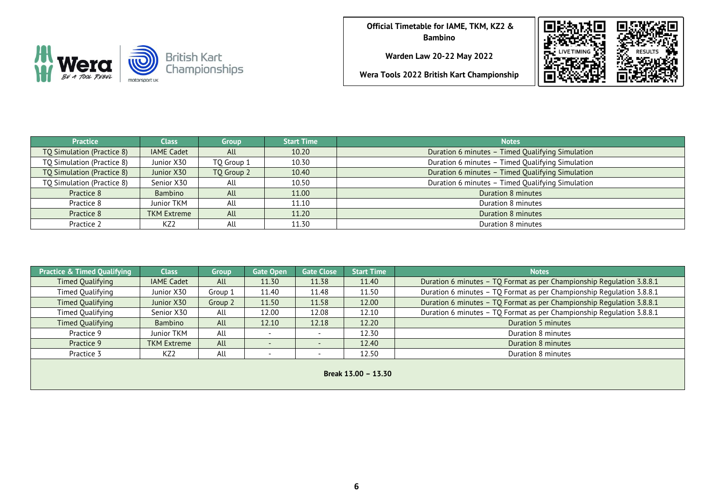

**Warden Law 20-22 May 2022**



| <b>Practice</b>            | <b>Class</b>       | <b>Group</b> | <b>Start Time</b> | <b>Notes</b>                                     |
|----------------------------|--------------------|--------------|-------------------|--------------------------------------------------|
| TQ Simulation (Practice 8) | <b>IAME Cadet</b>  | All          | 10.20             | Duration 6 minutes - Timed Qualifying Simulation |
| TQ Simulation (Practice 8) | Junior X30         | TO Group 1   | 10.30             | Duration 6 minutes - Timed Qualifying Simulation |
| TQ Simulation (Practice 8) | Junior X30         | TO Group 2   | 10.40             | Duration 6 minutes - Timed Qualifying Simulation |
| TQ Simulation (Practice 8) | Senior X30         | All          | 10.50             | Duration 6 minutes - Timed Qualifying Simulation |
| Practice 8                 | Bambino            | All          | 11.00             | Duration 8 minutes                               |
| Practice 8                 | Junior TKM         | All          | 11.10             | Duration 8 minutes                               |
| Practice 8                 | <b>TKM Extreme</b> | All          | 11.20             | Duration 8 minutes                               |
| Practice 2                 | KZ <sub>2</sub>    | All          | 11.30             | Duration 8 minutes                               |

| <b>Practice &amp; Timed Qualifying</b> | <b>Class</b>       | <b>Group</b> | <b>Gate Open</b> | <b>Gate Close</b> | <b>Start Time</b> | <b>Notes</b>                                                          |  |  |  |
|----------------------------------------|--------------------|--------------|------------------|-------------------|-------------------|-----------------------------------------------------------------------|--|--|--|
| Timed Qualifying                       | <b>IAME Cadet</b>  | All          | 11.30            | 11.38             | 11.40             | Duration 6 minutes - TQ Format as per Championship Regulation 3.8.8.1 |  |  |  |
| Timed Qualifying                       | Junior X30         | Group 1      | 11.40            | 11.48             | 11.50             | Duration 6 minutes - TQ Format as per Championship Regulation 3.8.8.1 |  |  |  |
| <b>Timed Qualifying</b>                | Junior X30         | Group 2      | 11.50            | 11.58             | 12.00             | Duration 6 minutes - TQ Format as per Championship Regulation 3.8.8.1 |  |  |  |
| Timed Qualifying                       | Senior X30         | All          | 12.00            | 12.08             | 12.10             | Duration 6 minutes - TQ Format as per Championship Regulation 3.8.8.1 |  |  |  |
| Timed Qualifying                       | Bambino            | All          | 12.10            | 12.18             | 12.20             | Duration 5 minutes                                                    |  |  |  |
| Practice 9                             | Junior TKM         | All          |                  |                   | 12.30             | Duration 8 minutes                                                    |  |  |  |
| Practice 9                             | <b>TKM Extreme</b> | All          |                  |                   | 12.40             | Duration 8 minutes                                                    |  |  |  |
| Practice 3                             | KZ2                | All          |                  |                   | 12.50             | Duration 8 minutes                                                    |  |  |  |
| Break 13.00 - 13.30                    |                    |              |                  |                   |                   |                                                                       |  |  |  |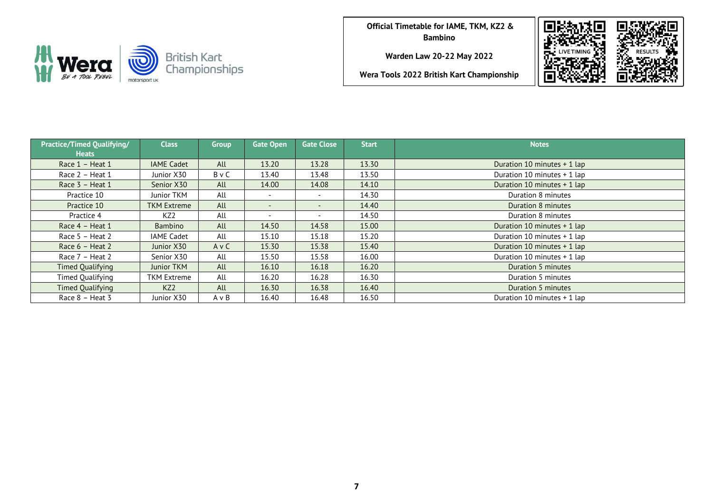

**Warden Law 20-22 May 2022**





| <b>Practice/Timed Qualifying/</b><br><b>Heats</b> | <b>Class</b>       | <b>Group</b> | <b>Gate Open</b>         | <b>Gate Close</b> | <b>Start</b> | <b>Notes</b>                |
|---------------------------------------------------|--------------------|--------------|--------------------------|-------------------|--------------|-----------------------------|
| Race 1 - Heat 1                                   | <b>IAME Cadet</b>  | All          | 13.20                    | 13.28             | 13.30        | Duration 10 minutes + 1 lap |
| Race 2 - Heat 1                                   | Junior X30         | BvC          | 13.40                    | 13.48             | 13.50        | Duration 10 minutes + 1 lap |
| Race 3 - Heat 1                                   | Senior X30         | All          | 14.00                    | 14.08             | 14.10        | Duration 10 minutes + 1 lap |
| Practice 10                                       | Junior TKM         | All          | $\overline{\phantom{a}}$ | $\sim$            | 14.30        | Duration 8 minutes          |
| Practice 10                                       | <b>TKM Extreme</b> | All          | $\overline{\phantom{a}}$ | $\sim$            | 14.40        | Duration 8 minutes          |
| Practice 4                                        | KZ2                | All          | $\overline{\phantom{0}}$ |                   | 14.50        | Duration 8 minutes          |
| Race $4$ – Heat 1                                 | Bambino            | All          | 14.50                    | 14.58             | 15.00        | Duration 10 minutes + 1 lap |
| Race $5 -$ Heat 2                                 | <b>IAME Cadet</b>  | All          | 15.10                    | 15.18             | 15.20        | Duration 10 minutes + 1 lap |
| Race $6$ – Heat 2                                 | Junior X30         | AvC          | 15.30                    | 15.38             | 15.40        | Duration 10 minutes + 1 lap |
| Race 7 - Heat 2                                   | Senior X30         | All          | 15.50                    | 15.58             | 16.00        | Duration 10 minutes + 1 lap |
| Timed Qualifying                                  | Junior TKM         | All          | 16.10                    | 16.18             | 16.20        | Duration 5 minutes          |
| Timed Qualifying                                  | <b>TKM Extreme</b> | All          | 16.20                    | 16.28             | 16.30        | Duration 5 minutes          |
| Timed Qualifying                                  | KZ <sub>2</sub>    | All          | 16.30                    | 16.38             | 16.40        | Duration 5 minutes          |
| Race 8 - Heat 3                                   | Junior X30         | A v B        | 16.40                    | 16.48             | 16.50        | Duration 10 minutes + 1 lap |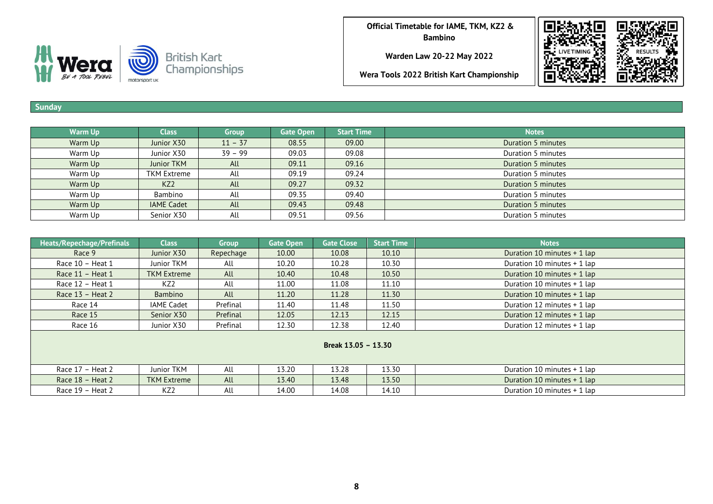

**Warden Law 20-22 May 2022**

**Wera Tools 2022 British Kart Championship**



## **Sunday**

| <b>Warm Up</b> | <b>Class</b>      | Group     | <b>Gate Open</b> | <b>Start Time</b> | <b>Notes</b>       |
|----------------|-------------------|-----------|------------------|-------------------|--------------------|
| Warm Up        | Junior X30        | $11 - 37$ | 08.55            | 09.00             | Duration 5 minutes |
| Warm Up        | Junior X30        | $39 - 99$ | 09.03            | 09.08             | Duration 5 minutes |
| Warm Up        | Junior TKM        | All       | 09.11            | 09.16             | Duration 5 minutes |
| Warm Up        | TKM Extreme       | All       | 09.19            | 09.24             | Duration 5 minutes |
| Warm Up        | KZ <sub>2</sub>   | All       | 09.27            | 09.32             | Duration 5 minutes |
| Warm Up        | Bambino           | All       | 09.35            | 09.40             | Duration 5 minutes |
| Warm Up        | <b>IAME Cadet</b> | All       | 09.43            | 09.48             | Duration 5 minutes |
| Warm Up        | Senior X30        | All       | 09.51            | 09.56             | Duration 5 minutes |

| Heats/Repechage/Prefinals | <b>Class</b>       | <b>Group</b> | <b>Gate Open</b> | <b>Gate Close</b> | <b>Start Time</b> | <b>Notes</b>                  |  |  |  |
|---------------------------|--------------------|--------------|------------------|-------------------|-------------------|-------------------------------|--|--|--|
| Race 9                    | Junior X30         | Repechage    | 10.00            | 10.08             | 10.10             | Duration 10 minutes + 1 lap   |  |  |  |
| Race 10 - Heat 1          | Junior TKM         | All          | 10.20            | 10.28             | 10.30             | Duration 10 minutes + 1 lap   |  |  |  |
| Race $11$ – Heat $1$      | <b>TKM Extreme</b> | All          | 10.40            | 10.48             | 10.50             | Duration 10 minutes + 1 lap   |  |  |  |
| Race 12 - Heat 1          | KZ2                | All          | 11.00            | 11.08             | 11.10             | Duration 10 minutes + 1 lap   |  |  |  |
| Race $13$ – Heat 2        | Bambino            | All          | 11.20            | 11.28             | 11.30             | Duration 10 minutes + 1 lap   |  |  |  |
| Race 14                   | <b>IAME Cadet</b>  | Prefinal     | 11.40            | 11.48             | 11.50             | Duration 12 minutes + 1 lap   |  |  |  |
| Race 15                   | Senior X30         | Prefinal     | 12.05            | 12.13             | 12.15             | Duration 12 minutes $+$ 1 lap |  |  |  |
| Race 16                   | Junior X30         | Prefinal     | 12.30            | 12.38             | 12.40             | Duration 12 minutes + 1 lap   |  |  |  |
| Break 13.05 - 13.30       |                    |              |                  |                   |                   |                               |  |  |  |
| Race 17 - Heat 2          | Junior TKM         | All          | 13.20            | 13.28             | 13.30             | Duration 10 minutes $+$ 1 lap |  |  |  |
| Race $18$ – Heat 2        | <b>TKM Extreme</b> | All          | 13.40            | 13.48             | 13.50             | Duration 10 minutes + 1 lap   |  |  |  |
| Race $19$ – Heat 2        | KZ2                | All          | 14.00            | 14.08             | 14.10             | Duration 10 minutes + 1 lap   |  |  |  |